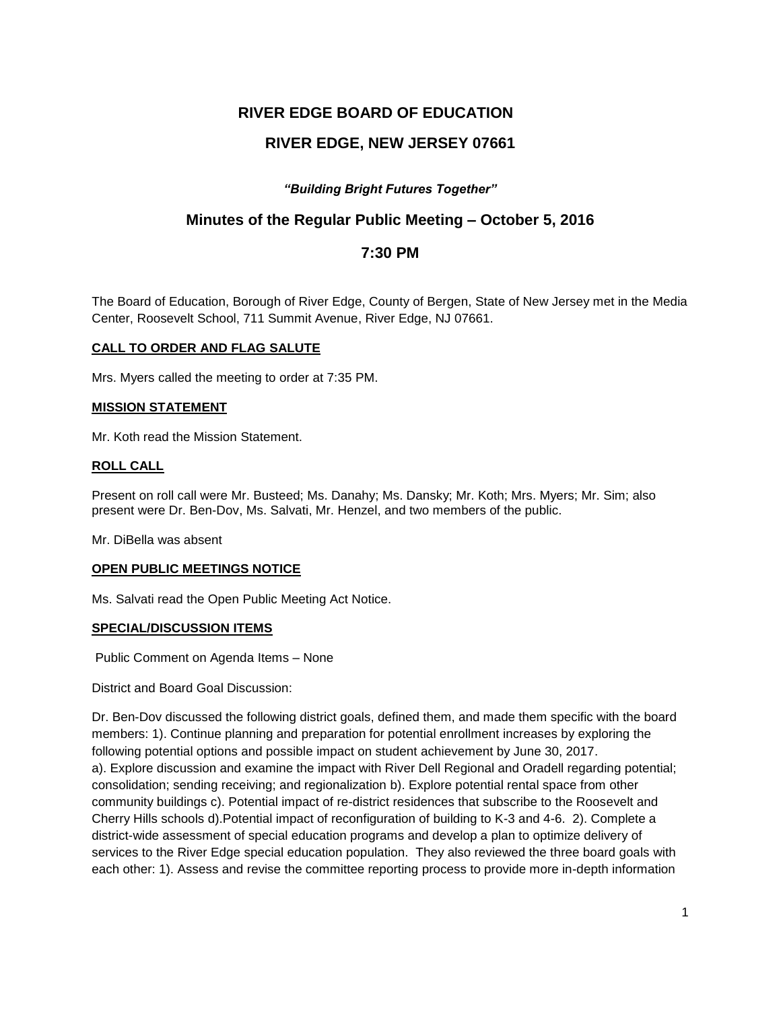# **RIVER EDGE BOARD OF EDUCATION**

# **RIVER EDGE, NEW JERSEY 07661**

## *"Building Bright Futures Together"*

## **Minutes of the Regular Public Meeting – October 5, 2016**

## **7:30 PM**

The Board of Education, Borough of River Edge, County of Bergen, State of New Jersey met in the Media Center, Roosevelt School, 711 Summit Avenue, River Edge, NJ 07661.

#### **CALL TO ORDER AND FLAG SALUTE**

Mrs. Myers called the meeting to order at 7:35 PM.

#### **MISSION STATEMENT**

Mr. Koth read the Mission Statement.

#### **ROLL CALL**

Present on roll call were Mr. Busteed; Ms. Danahy; Ms. Dansky; Mr. Koth; Mrs. Myers; Mr. Sim; also present were Dr. Ben-Dov, Ms. Salvati, Mr. Henzel, and two members of the public.

Mr. DiBella was absent

#### **OPEN PUBLIC MEETINGS NOTICE**

Ms. Salvati read the Open Public Meeting Act Notice.

#### **SPECIAL/DISCUSSION ITEMS**

Public Comment on Agenda Items – None

District and Board Goal Discussion:

Dr. Ben-Dov discussed the following district goals, defined them, and made them specific with the board members: 1). Continue planning and preparation for potential enrollment increases by exploring the following potential options and possible impact on student achievement by June 30, 2017. a). Explore discussion and examine the impact with River Dell Regional and Oradell regarding potential; consolidation; sending receiving; and regionalization b). Explore potential rental space from other community buildings c). Potential impact of re-district residences that subscribe to the Roosevelt and Cherry Hills schools d).Potential impact of reconfiguration of building to K-3 and 4-6. 2). Complete a district-wide assessment of special education programs and develop a plan to optimize delivery of services to the River Edge special education population. They also reviewed the three board goals with each other: 1). Assess and revise the committee reporting process to provide more in-depth information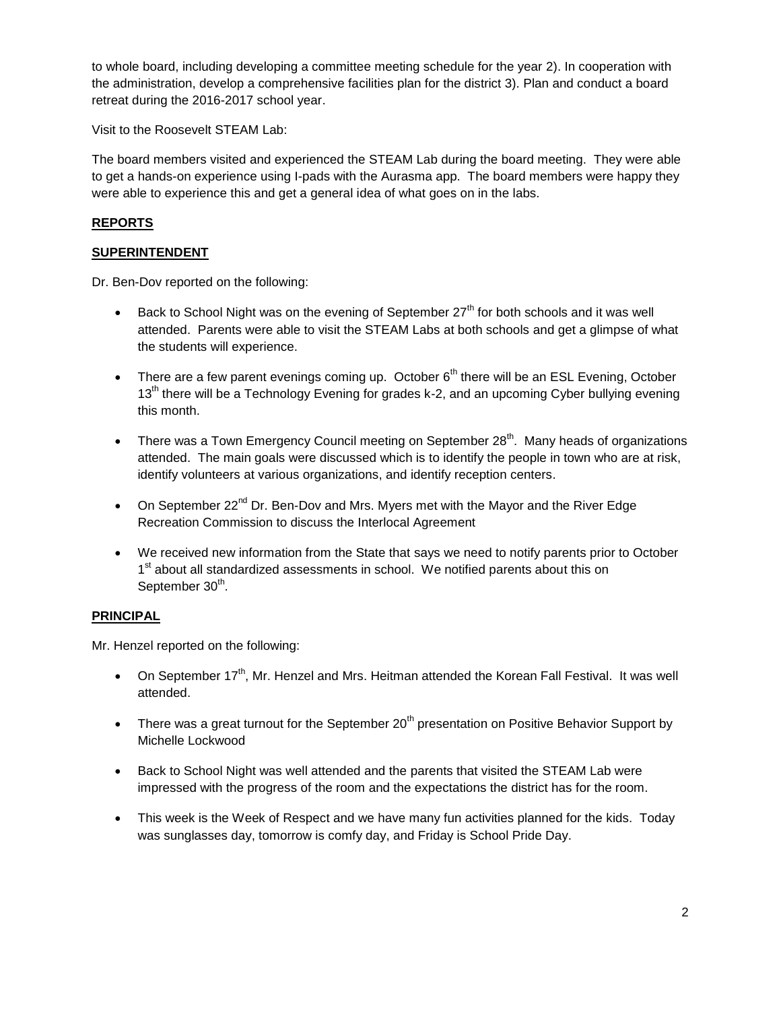to whole board, including developing a committee meeting schedule for the year 2). In cooperation with the administration, develop a comprehensive facilities plan for the district 3). Plan and conduct a board retreat during the 2016-2017 school year.

Visit to the Roosevelt STEAM Lab:

The board members visited and experienced the STEAM Lab during the board meeting. They were able to get a hands-on experience using I-pads with the Aurasma app. The board members were happy they were able to experience this and get a general idea of what goes on in the labs.

## **REPORTS**

### **SUPERINTENDENT**

Dr. Ben-Dov reported on the following:

- Back to School Night was on the evening of September  $27<sup>th</sup>$  for both schools and it was well attended. Parents were able to visit the STEAM Labs at both schools and get a glimpse of what the students will experience.
- There are a few parent evenings coming up. October  $6<sup>th</sup>$  there will be an ESL Evening, October  $13<sup>th</sup>$  there will be a Technology Evening for grades k-2, and an upcoming Cyber bullying evening this month.
- There was a Town Emergency Council meeting on September 28<sup>th</sup>. Many heads of organizations attended. The main goals were discussed which is to identify the people in town who are at risk, identify volunteers at various organizations, and identify reception centers.
- On September  $22^{nd}$  Dr. Ben-Dov and Mrs. Myers met with the Mayor and the River Edge Recreation Commission to discuss the Interlocal Agreement
- We received new information from the State that says we need to notify parents prior to October 1<sup>st</sup> about all standardized assessments in school. We notified parents about this on September 30<sup>th</sup>.

## **PRINCIPAL**

Mr. Henzel reported on the following:

- On September 17<sup>th</sup>, Mr. Henzel and Mrs. Heitman attended the Korean Fall Festival. It was well attended.
- There was a great turnout for the September  $20<sup>th</sup>$  presentation on Positive Behavior Support by Michelle Lockwood
- Back to School Night was well attended and the parents that visited the STEAM Lab were impressed with the progress of the room and the expectations the district has for the room.
- This week is the Week of Respect and we have many fun activities planned for the kids. Today was sunglasses day, tomorrow is comfy day, and Friday is School Pride Day.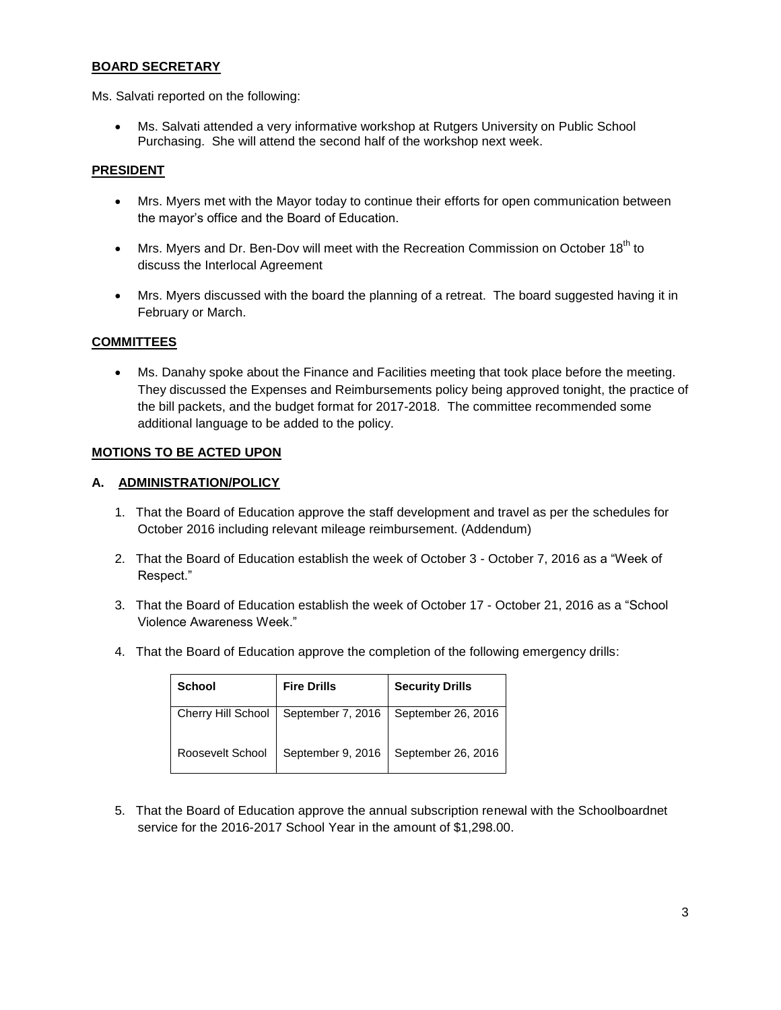## **BOARD SECRETARY**

Ms. Salvati reported on the following:

 Ms. Salvati attended a very informative workshop at Rutgers University on Public School Purchasing. She will attend the second half of the workshop next week.

#### **PRESIDENT**

- Mrs. Myers met with the Mayor today to continue their efforts for open communication between the mayor's office and the Board of Education.
- $\bullet$  Mrs. Myers and Dr. Ben-Dov will meet with the Recreation Commission on October 18<sup>th</sup> to discuss the Interlocal Agreement
- Mrs. Myers discussed with the board the planning of a retreat. The board suggested having it in February or March.

#### **COMMITTEES**

 Ms. Danahy spoke about the Finance and Facilities meeting that took place before the meeting. They discussed the Expenses and Reimbursements policy being approved tonight, the practice of the bill packets, and the budget format for 2017-2018. The committee recommended some additional language to be added to the policy.

#### **MOTIONS TO BE ACTED UPON**

#### **A. ADMINISTRATION/POLICY**

- 1. That the Board of Education approve the staff development and travel as per the schedules for October 2016 including relevant mileage reimbursement. (Addendum)
- 2. That the Board of Education establish the week of October 3 October 7, 2016 as a "Week of Respect."
- 3. That the Board of Education establish the week of October 17 October 21, 2016 as a "School Violence Awareness Week."
- 4. That the Board of Education approve the completion of the following emergency drills:

| <b>School</b>      | <b>Fire Drills</b> | <b>Security Drills</b> |
|--------------------|--------------------|------------------------|
| Cherry Hill School | September 7, 2016  | September 26, 2016     |
| Roosevelt School   | September 9, 2016  | September 26, 2016     |

5. That the Board of Education approve the annual subscription renewal with the Schoolboardnet service for the 2016-2017 School Year in the amount of \$1,298.00.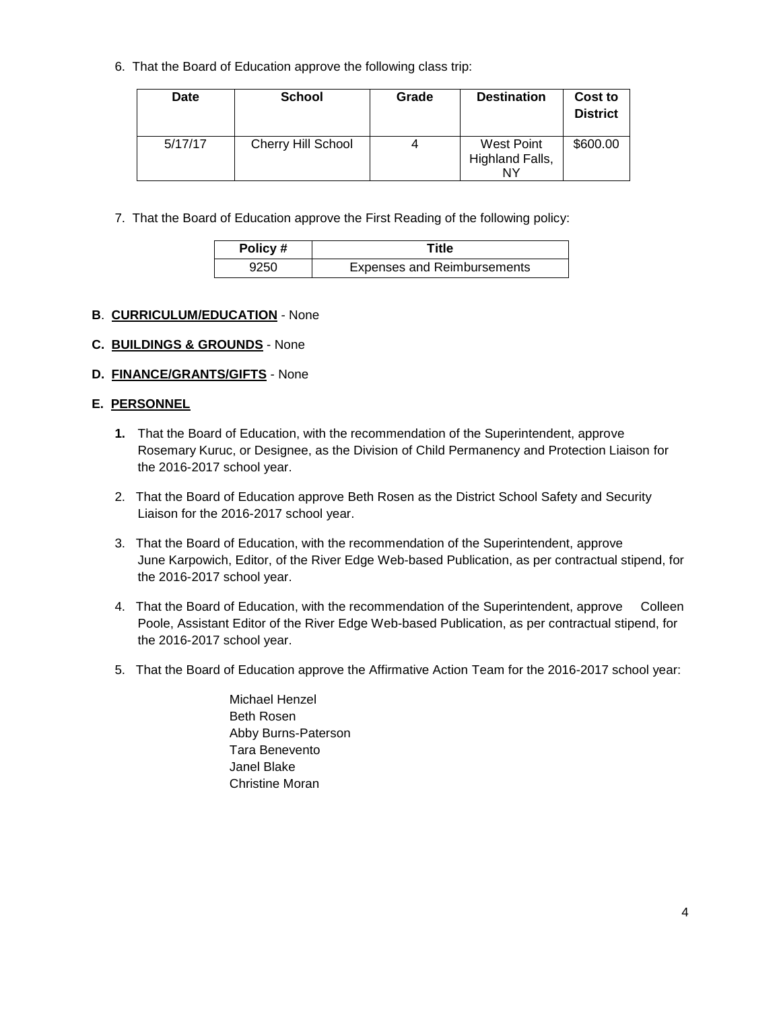6. That the Board of Education approve the following class trip:

| Date    | <b>School</b>             | Grade | <b>Destination</b>                  | Cost to<br><b>District</b> |
|---------|---------------------------|-------|-------------------------------------|----------------------------|
| 5/17/17 | <b>Cherry Hill School</b> | 4     | West Point<br>Highland Falls,<br>NΥ | \$600.00                   |

7. That the Board of Education approve the First Reading of the following policy:

| Policy# | Title                              |
|---------|------------------------------------|
| 9250    | <b>Expenses and Reimbursements</b> |

## **B**. **CURRICULUM/EDUCATION** - None

## **C. BUILDINGS & GROUNDS** - None

## **D. FINANCE/GRANTS/GIFTS** - None

## **E. PERSONNEL**

- **1.** That the Board of Education, with the recommendation of the Superintendent, approve Rosemary Kuruc, or Designee, as the Division of Child Permanency and Protection Liaison for the 2016-2017 school year.
- 2. That the Board of Education approve Beth Rosen as the District School Safety and Security Liaison for the 2016-2017 school year.
- 3. That the Board of Education, with the recommendation of the Superintendent, approve June Karpowich, Editor, of the River Edge Web-based Publication, as per contractual stipend, for the 2016-2017 school year.
- 4. That the Board of Education, with the recommendation of the Superintendent, approve Colleen Poole, Assistant Editor of the River Edge Web-based Publication, as per contractual stipend, for the 2016-2017 school year.
- 5. That the Board of Education approve the Affirmative Action Team for the 2016-2017 school year:
	- Michael Henzel Beth Rosen Abby Burns-Paterson Tara Benevento Janel Blake Christine Moran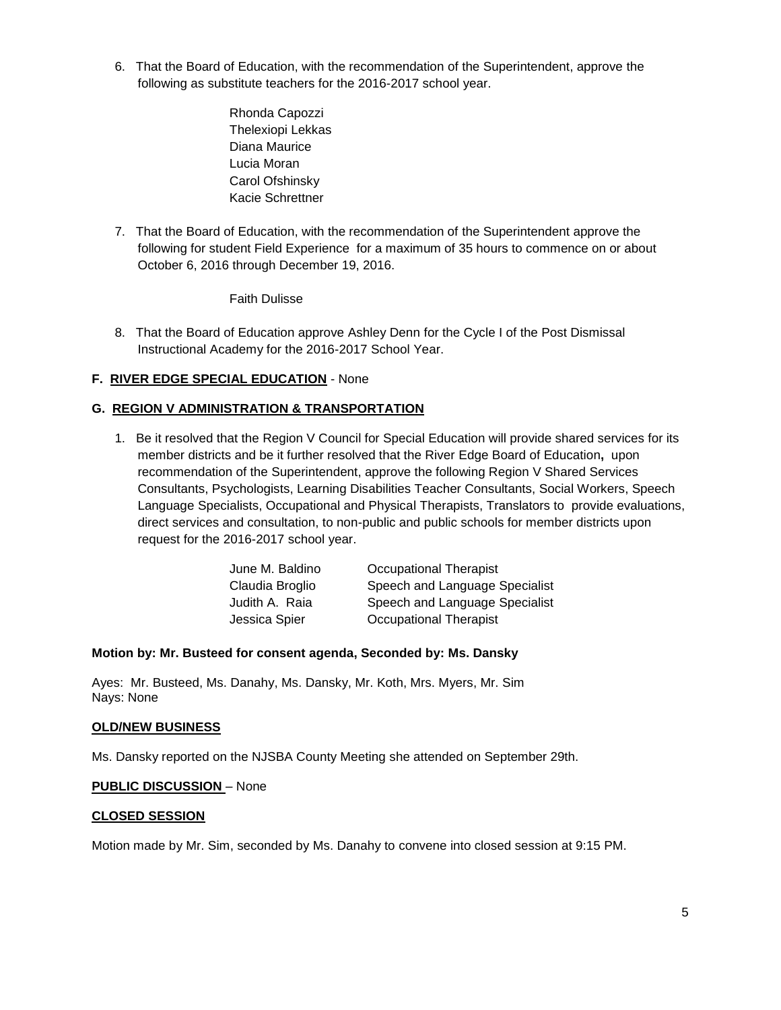- 6. That the Board of Education, with the recommendation of the Superintendent, approve the following as substitute teachers for the 2016-2017 school year.
	- Rhonda Capozzi Thelexiopi Lekkas Diana Maurice Lucia Moran Carol Ofshinsky Kacie Schrettner
- 7. That the Board of Education, with the recommendation of the Superintendent approve the following for student Field Experience for a maximum of 35 hours to commence on or about October 6, 2016 through December 19, 2016.

Faith Dulisse

8. That the Board of Education approve Ashley Denn for the Cycle I of the Post Dismissal Instructional Academy for the 2016-2017 School Year.

### **F. RIVER EDGE SPECIAL EDUCATION** - None

## **G. REGION V ADMINISTRATION & TRANSPORTATION**

1. Be it resolved that the Region V Council for Special Education will provide shared services for its member districts and be it further resolved that the River Edge Board of Education**,** upon recommendation of the Superintendent, approve the following Region V Shared Services Consultants, Psychologists, Learning Disabilities Teacher Consultants, Social Workers, Speech Language Specialists, Occupational and Physical Therapists, Translators to provide evaluations, direct services and consultation, to non-public and public schools for member districts upon request for the 2016-2017 school year.

| June M. Baldino | <b>Occupational Therapist</b>  |
|-----------------|--------------------------------|
| Claudia Broglio | Speech and Language Specialist |
| Judith A. Raia  | Speech and Language Specialist |
| Jessica Spier   | <b>Occupational Therapist</b>  |

#### **Motion by: Mr. Busteed for consent agenda, Seconded by: Ms. Dansky**

Ayes: Mr. Busteed, Ms. Danahy, Ms. Dansky, Mr. Koth, Mrs. Myers, Mr. Sim Nays: None

#### **OLD/NEW BUSINESS**

Ms. Dansky reported on the NJSBA County Meeting she attended on September 29th.

#### **PUBLIC DISCUSSION** – None

#### **CLOSED SESSION**

Motion made by Mr. Sim, seconded by Ms. Danahy to convene into closed session at 9:15 PM.